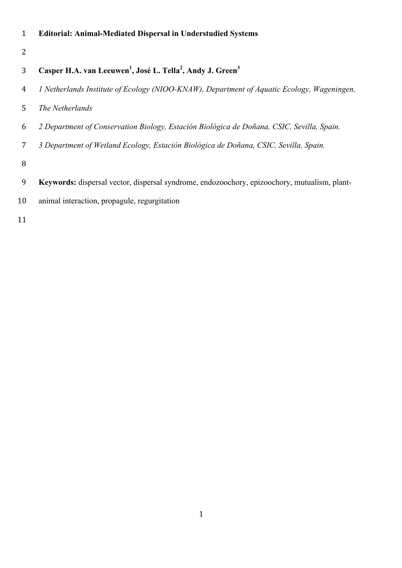|  |  | <b>Editorial: Animal-Mediated Dispersal in Understudied Systems</b> |  |  |
|--|--|---------------------------------------------------------------------|--|--|
|--|--|---------------------------------------------------------------------|--|--|

## **Casper H.A. van Leeuwen<sup>1</sup> , José L. Tella<sup>2</sup> , Andy J. Green<sup>3</sup>**

- *1 Netherlands Institute of Ecology (NIOO-KNAW), Department of Aquatic Ecology, Wageningen,*
- *The Netherlands*
- *2 Department of Conservation Biology, Estación Biológica de Doñana, CSIC, Sevilla, Spain.*
- *3 Department of Wetland Ecology, Estación Biológica de Doñana, CSIC, Sevilla, Spain.*
- 
- **Keywords:** dispersal vector, dispersal syndrome, endozoochory, epizoochory, mutualism, plant-
- animal interaction, propagule, regurgitation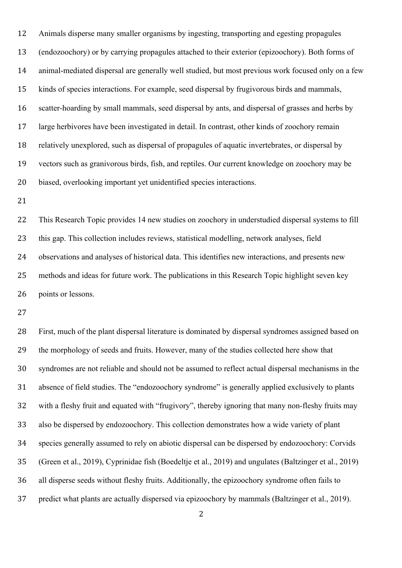Animals disperse many smaller organisms by ingesting, transporting and egesting propagules (endozoochory) or by carrying propagules attached to their exterior (epizoochory). Both forms of animal-mediated dispersal are generally well studied, but most previous work focused only on a few kinds of species interactions. For example, seed dispersal by frugivorous birds and mammals, scatter-hoarding by small mammals, seed dispersal by ants, and dispersal of grasses and herbs by large herbivores have been investigated in detail. In contrast, other kinds of zoochory remain relatively unexplored, such as dispersal of propagules of aquatic invertebrates, or dispersal by vectors such as granivorous birds, fish, and reptiles. Our current knowledge on zoochory may be biased, overlooking important yet unidentified species interactions.

 This Research Topic provides 14 new studies on zoochory in understudied dispersal systems to fill this gap. This collection includes reviews, statistical modelling, network analyses, field observations and analyses of historical data. This identifies new interactions, and presents new methods and ideas for future work. The publications in this Research Topic highlight seven key points or lessons.

 First, much of the plant dispersal literature is dominated by dispersal syndromes assigned based on the morphology of seeds and fruits. However, many of the studies collected here show that syndromes are not reliable and should not be assumed to reflect actual dispersal mechanisms in the absence of field studies. The "endozoochory syndrome" is generally applied exclusively to plants with a fleshy fruit and equated with "frugivory", thereby ignoring that many non-fleshy fruits may also be dispersed by endozoochory. This collection demonstrates how a wide variety of plant species generally assumed to rely on abiotic dispersal can be dispersed by endozoochory: Corvids (Green et al., 2019), Cyprinidae fish (Boedeltje et al., 2019) and ungulates (Baltzinger et al., 2019) all disperse seeds without fleshy fruits. Additionally, the epizoochory syndrome often fails to predict what plants are actually dispersed via epizoochory by mammals (Baltzinger et al., 2019).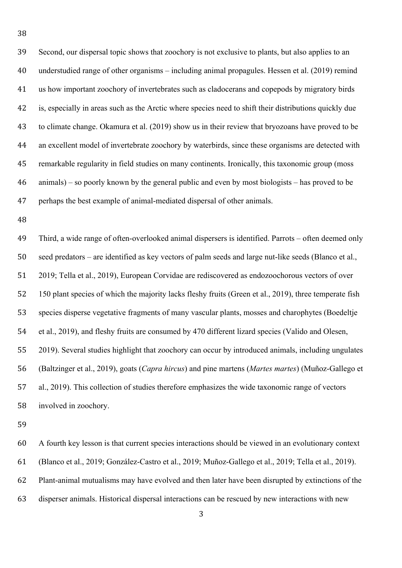Second, our dispersal topic shows that zoochory is not exclusive to plants, but also applies to an understudied range of other organisms – including animal propagules. Hessen et al. (2019) remind us how important zoochory of invertebrates such as cladocerans and copepods by migratory birds is, especially in areas such as the Arctic where species need to shift their distributions quickly due to climate change. Okamura et al. (2019) show us in their review that bryozoans have proved to be an excellent model of invertebrate zoochory by waterbirds, since these organisms are detected with remarkable regularity in field studies on many continents. Ironically, this taxonomic group (moss animals) – so poorly known by the general public and even by most biologists – has proved to be perhaps the best example of animal-mediated dispersal of other animals.

 Third, a wide range of often-overlooked animal dispersers is identified. Parrots – often deemed only seed predators – are identified as key vectors of palm seeds and large nut-like seeds (Blanco et al., 2019; Tella et al., 2019), European Corvidae are rediscovered as endozoochorous vectors of over 150 plant species of which the majority lacks fleshy fruits (Green et al., 2019), three temperate fish species disperse vegetative fragments of many vascular plants, mosses and charophytes (Boedeltje et al., 2019), and fleshy fruits are consumed by 470 different lizard species (Valido and Olesen, 2019). Several studies highlight that zoochory can occur by introduced animals, including ungulates (Baltzinger et al., 2019), goats (*Capra hircus*) and pine martens (*Martes martes*) (Muñoz-Gallego et al., 2019). This collection of studies therefore emphasizes the wide taxonomic range of vectors involved in zoochory.

 A fourth key lesson is that current species interactions should be viewed in an evolutionary context (Blanco et al., 2019; González-Castro et al., 2019; Muñoz-Gallego et al., 2019; Tella et al., 2019). Plant-animal mutualisms may have evolved and then later have been disrupted by extinctions of the disperser animals. Historical dispersal interactions can be rescued by new interactions with new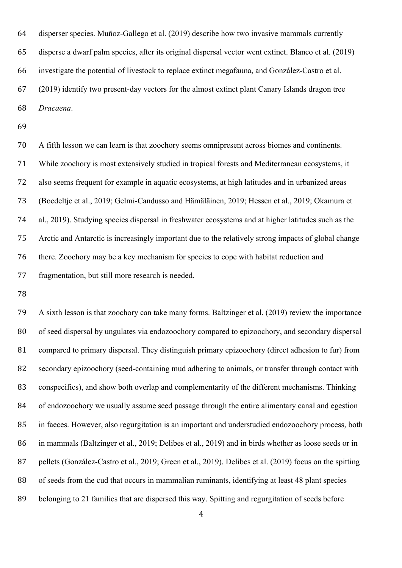disperser species. Muñoz-Gallego et al. (2019) describe how two invasive mammals currently disperse a dwarf palm species, after its original dispersal vector went extinct. Blanco et al. (2019) investigate the potential of livestock to replace extinct megafauna, and González-Castro et al. (2019) identify two present-day vectors for the almost extinct plant Canary Islands dragon tree *Dracaena*.

 A fifth lesson we can learn is that zoochory seems omnipresent across biomes and continents. While zoochory is most extensively studied in tropical forests and Mediterranean ecosystems, it also seems frequent for example in aquatic ecosystems, at high latitudes and in urbanized areas (Boedeltje et al., 2019; Gelmi-Candusso and Hämäläinen, 2019; Hessen et al., 2019; Okamura et al., 2019). Studying species dispersal in freshwater ecosystems and at higher latitudes such as the Arctic and Antarctic is increasingly important due to the relatively strong impacts of global change there. Zoochory may be a key mechanism for species to cope with habitat reduction and fragmentation, but still more research is needed.

 A sixth lesson is that zoochory can take many forms. Baltzinger et al. (2019) review the importance of seed dispersal by ungulates via endozoochory compared to epizoochory, and secondary dispersal compared to primary dispersal. They distinguish primary epizoochory (direct adhesion to fur) from secondary epizoochory (seed-containing mud adhering to animals, or transfer through contact with conspecifics), and show both overlap and complementarity of the different mechanisms. Thinking of endozoochory we usually assume seed passage through the entire alimentary canal and egestion in faeces. However, also regurgitation is an important and understudied endozoochory process, both in mammals (Baltzinger et al., 2019; Delibes et al., 2019) and in birds whether as loose seeds or in pellets (González-Castro et al., 2019; Green et al., 2019). Delibes et al. (2019) focus on the spitting of seeds from the cud that occurs in mammalian ruminants, identifying at least 48 plant species belonging to 21 families that are dispersed this way. Spitting and regurgitation of seeds before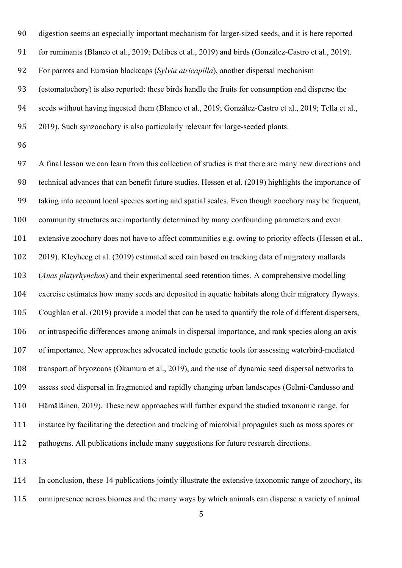digestion seems an especially important mechanism for larger-sized seeds, and it is here reported for ruminants (Blanco et al., 2019; Delibes et al., 2019) and birds (González-Castro et al., 2019). For parrots and Eurasian blackcaps (*Sylvia atricapilla*), another dispersal mechanism (estomatochory) is also reported: these birds handle the fruits for consumption and disperse the seeds without having ingested them (Blanco et al., 2019; González-Castro et al., 2019; Tella et al., 2019). Such synzoochory is also particularly relevant for large-seeded plants.

 A final lesson we can learn from this collection of studies is that there are many new directions and technical advances that can benefit future studies. Hessen et al. (2019) highlights the importance of taking into account local species sorting and spatial scales. Even though zoochory may be frequent, community structures are importantly determined by many confounding parameters and even extensive zoochory does not have to affect communities e.g. owing to priority effects (Hessen et al., 2019). Kleyheeg et al. (2019) estimated seed rain based on tracking data of migratory mallards (*Anas platyrhynchos*) and their experimental seed retention times. A comprehensive modelling exercise estimates how many seeds are deposited in aquatic habitats along their migratory flyways. Coughlan et al. (2019) provide a model that can be used to quantify the role of different dispersers, or intraspecific differences among animals in dispersal importance, and rank species along an axis of importance. New approaches advocated include genetic tools for assessing waterbird-mediated transport of bryozoans (Okamura et al., 2019), and the use of dynamic seed dispersal networks to assess seed dispersal in fragmented and rapidly changing urban landscapes (Gelmi-Candusso and Hämäläinen, 2019). These new approaches will further expand the studied taxonomic range, for instance by facilitating the detection and tracking of microbial propagules such as moss spores or pathogens. All publications include many suggestions for future research directions.

 In conclusion, these 14 publications jointly illustrate the extensive taxonomic range of zoochory, its omnipresence across biomes and the many ways by which animals can disperse a variety of animal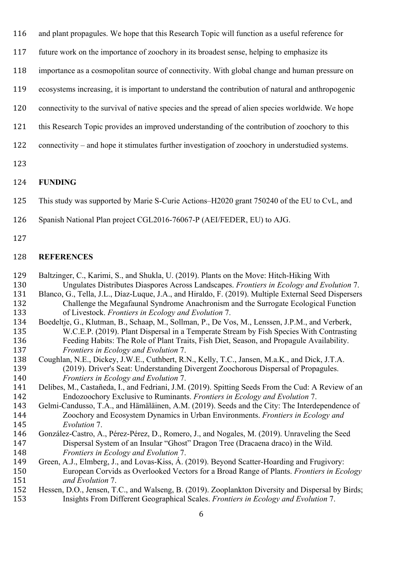- and plant propagules. We hope that this Research Topic will function as a useful reference for
- future work on the importance of zoochory in its broadest sense, helping to emphasize its
- importance as a cosmopolitan source of connectivity. With global change and human pressure on
- ecosystems increasing, it is important to understand the contribution of natural and anthropogenic
- connectivity to the survival of native species and the spread of alien species worldwide. We hope
- this Research Topic provides an improved understanding of the contribution of zoochory to this
- connectivity and hope it stimulates further investigation of zoochory in understudied systems.
- 

## **FUNDING**

- This study was supported by Marie S-Curie Actions–H2020 grant 750240 of the EU to CvL, and
- Spanish National Plan project CGL2016-76067-P (AEI/FEDER, EU) to AJG.
- 

## **REFERENCES**

- Baltzinger, C., Karimi, S., and Shukla, U. (2019). Plants on the Move: Hitch-Hiking With Ungulates Distributes Diaspores Across Landscapes. *Frontiers in Ecology and Evolution* 7. Blanco, G., Tella, J.L., Díaz-Luque, J.A., and Hiraldo, F. (2019). Multiple External Seed Dispersers
- Challenge the Megafaunal Syndrome Anachronism and the Surrogate Ecological Function of Livestock. *Frontiers in Ecology and Evolution* 7.
- Boedeltje, G., Klutman, B., Schaap, M., Sollman, P., De Vos, M., Lenssen, J.P.M., and Verberk, W.C.E.P. (2019). Plant Dispersal in a Temperate Stream by Fish Species With Contrasting Feeding Habits: The Role of Plant Traits, Fish Diet, Season, and Propagule Availability. *Frontiers in Ecology and Evolution* 7.
- Coughlan, N.E., Dickey, J.W.E., Cuthbert, R.N., Kelly, T.C., Jansen, M.a.K., and Dick, J.T.A. (2019). Driver's Seat: Understanding Divergent Zoochorous Dispersal of Propagules. *Frontiers in Ecology and Evolution* 7.
- Delibes, M., Castañeda, I., and Fedriani, J.M. (2019). Spitting Seeds From the Cud: A Review of an Endozoochory Exclusive to Ruminants. *Frontiers in Ecology and Evolution* 7.
- Gelmi-Candusso, T.A., and Hämäläinen, A.M. (2019). Seeds and the City: The Interdependence of Zoochory and Ecosystem Dynamics in Urban Environments. *Frontiers in Ecology and Evolution* 7.
- González-Castro, A., Pérez-Pérez, D., Romero, J., and Nogales, M. (2019). Unraveling the Seed Dispersal System of an Insular "Ghost" Dragon Tree (Dracaena draco) in the Wild. *Frontiers in Ecology and Evolution* 7.
- Green, A.J., Elmberg, J., and Lovas-Kiss, Á. (2019). Beyond Scatter-Hoarding and Frugivory: European Corvids as Overlooked Vectors for a Broad Range of Plants. *Frontiers in Ecology and Evolution* 7.
- Hessen, D.O., Jensen, T.C., and Walseng, B. (2019). Zooplankton Diversity and Dispersal by Birds; Insights From Different Geographical Scales. *Frontiers in Ecology and Evolution* 7.